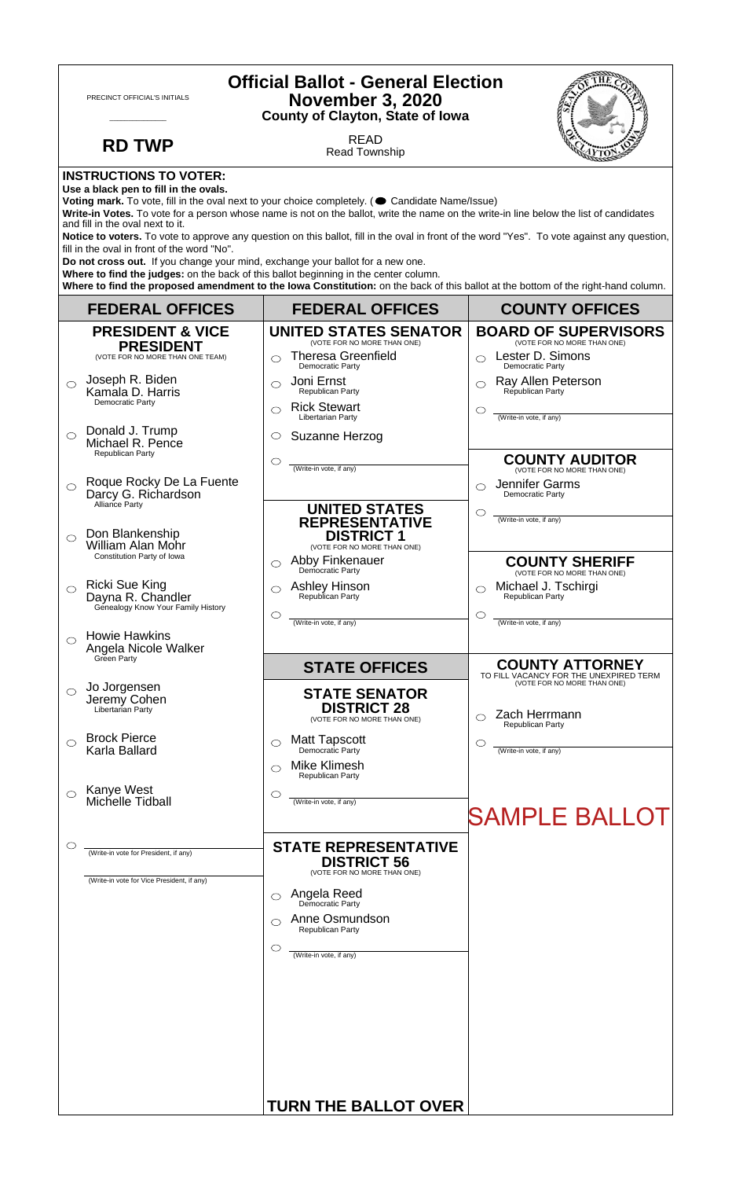| <b>Official Ballot - General Election</b><br>PRECINCT OFFICIAL'S INITIALS<br><b>November 3, 2020</b><br><b>County of Clayton, State of Iowa</b>                                                                                                                                                                                                                                                                                                                                                                                                                                                                                                                                                                                                                                                                                                                      |                                                                                                                                                                                                                                                                    |                                                                                                                                                   |  |
|----------------------------------------------------------------------------------------------------------------------------------------------------------------------------------------------------------------------------------------------------------------------------------------------------------------------------------------------------------------------------------------------------------------------------------------------------------------------------------------------------------------------------------------------------------------------------------------------------------------------------------------------------------------------------------------------------------------------------------------------------------------------------------------------------------------------------------------------------------------------|--------------------------------------------------------------------------------------------------------------------------------------------------------------------------------------------------------------------------------------------------------------------|---------------------------------------------------------------------------------------------------------------------------------------------------|--|
| <b>RD TWP</b>                                                                                                                                                                                                                                                                                                                                                                                                                                                                                                                                                                                                                                                                                                                                                                                                                                                        | <b>READ</b><br><b>Read Township</b>                                                                                                                                                                                                                                |                                                                                                                                                   |  |
| <b>INSTRUCTIONS TO VOTER:</b><br>Use a black pen to fill in the ovals.<br>Voting mark. To vote, fill in the oval next to your choice completely. ( Candidate Name/Issue)<br>Write-in Votes. To vote for a person whose name is not on the ballot, write the name on the write-in line below the list of candidates<br>and fill in the oval next to it.<br>Notice to voters. To vote to approve any question on this ballot, fill in the oval in front of the word "Yes". To vote against any question,<br>fill in the oval in front of the word "No".<br>Do not cross out. If you change your mind, exchange your ballot for a new one.<br>Where to find the judges: on the back of this ballot beginning in the center column.<br>Where to find the proposed amendment to the lowa Constitution: on the back of this ballot at the bottom of the right-hand column. |                                                                                                                                                                                                                                                                    |                                                                                                                                                   |  |
| <b>FEDERAL OFFICES</b>                                                                                                                                                                                                                                                                                                                                                                                                                                                                                                                                                                                                                                                                                                                                                                                                                                               | <b>FEDERAL OFFICES</b>                                                                                                                                                                                                                                             | <b>COUNTY OFFICES</b>                                                                                                                             |  |
| <b>PRESIDENT &amp; VICE</b><br><b>PRESIDENT</b><br>(VOTE FOR NO MORE THAN ONE TEAM)<br>Joseph R. Biden<br>$\bigcirc$<br>Kamala D. Harris<br>Democratic Party                                                                                                                                                                                                                                                                                                                                                                                                                                                                                                                                                                                                                                                                                                         | <b>UNITED STATES SENATOR</b><br>(VOTE FOR NO MORE THAN ONE)<br><b>Theresa Greenfield</b><br>◯<br>Democratic Party<br>Joni Ernst<br>◯<br>Republican Party<br><b>Rick Stewart</b>                                                                                    | <b>BOARD OF SUPERVISORS</b><br>(VOTE FOR NO MORE THAN ONE)<br>Lester D. Simons<br>Democratic Party<br>Ray Allen Peterson<br>◯<br>Republican Party |  |
| Donald J. Trump<br>$\bigcirc$<br>Michael R. Pence<br>Republican Party<br>Roque Rocky De La Fuente                                                                                                                                                                                                                                                                                                                                                                                                                                                                                                                                                                                                                                                                                                                                                                    | ⌒<br>Libertarian Party<br>Suzanne Herzog<br>$\circ$<br>$\circlearrowright$<br>(Write-in vote, if any)                                                                                                                                                              | O<br>(Write-in vote, if any)<br><b>COUNTY AUDITOR</b><br>(VOTE FOR NO MORE THAN ONE)<br>Jennifer Garms                                            |  |
| $\circ$<br>Darcy G. Richardson<br>Alliance Party<br>Don Blankenship<br>$\bigcirc$<br>William Alan Mohr                                                                                                                                                                                                                                                                                                                                                                                                                                                                                                                                                                                                                                                                                                                                                               | <b>UNITED STATES</b><br><b>REPRESENTATIVE</b><br><b>DISTRICT 1</b><br>(VOTE FOR NO MORE THAN ONE)                                                                                                                                                                  | Democratic Party<br>◯<br>(Write-in vote, if any)                                                                                                  |  |
| Constitution Party of Iowa<br><b>Ricki Sue King</b><br>Dayna R. Chandler<br>Genealogy Know Your Family History                                                                                                                                                                                                                                                                                                                                                                                                                                                                                                                                                                                                                                                                                                                                                       | Abby Finkenauer<br>◯<br>Democratic Party<br>Ashley Hinson<br>Republican Party<br>O<br>$\circlearrowright$<br>(Write-in vote, if any)                                                                                                                               | <b>COUNTY SHERIFF</b><br>(VOTE FOR NO MORE THAN ONE)<br>Michael J. Tschirgi<br>Republican Party<br>O<br>(Write-in vote, if any)                   |  |
| <b>Howie Hawkins</b><br>◯<br>Angela Nicole Walker<br>Green Party                                                                                                                                                                                                                                                                                                                                                                                                                                                                                                                                                                                                                                                                                                                                                                                                     | <b>STATE OFFICES</b>                                                                                                                                                                                                                                               | <b>COUNTY ATTORNEY</b>                                                                                                                            |  |
| Jo Jorgensen<br>$\bigcirc$<br>Jeremy Cohen<br>Libertarian Party                                                                                                                                                                                                                                                                                                                                                                                                                                                                                                                                                                                                                                                                                                                                                                                                      | <b>STATE SENATOR</b><br><b>DISTRICT 28</b><br>(VOTE FOR NO MORE THAN ONE)                                                                                                                                                                                          | TO FILL VACANCY FOR THE UNEXPIRED TERM<br>(VOTE FOR NO MORE THAN ONE)<br>Zach Herrmann<br>Republican Party                                        |  |
| <b>Brock Pierce</b><br>◯<br>Karla Ballard                                                                                                                                                                                                                                                                                                                                                                                                                                                                                                                                                                                                                                                                                                                                                                                                                            | <b>Matt Tapscott</b><br>◯<br>Democratic Party<br><b>Mike Klimesh</b><br>Republican Party                                                                                                                                                                           | O<br>(Write-in vote, if any)                                                                                                                      |  |
| Kanye West<br>Michelle Tidball                                                                                                                                                                                                                                                                                                                                                                                                                                                                                                                                                                                                                                                                                                                                                                                                                                       | $\circlearrowright$<br>(Write-in vote, if any)                                                                                                                                                                                                                     | <b>SAMPLE BALLOT</b>                                                                                                                              |  |
| O<br>(Write-in vote for President, if any)<br>(Write-in vote for Vice President, if any)                                                                                                                                                                                                                                                                                                                                                                                                                                                                                                                                                                                                                                                                                                                                                                             | <b>STATE REPRESENTATIVE</b><br><b>DISTRICT 56</b><br>(VOTE FOR NO MORE THAN ONE)<br><b>Angela Reed</b><br>Democratic Party<br>◯<br>Anne Osmundson<br>⌒<br><b>Republican Party</b><br>$\circlearrowright$<br>(Write-in vote, if any)<br><b>TURN THE BALLOT OVER</b> |                                                                                                                                                   |  |